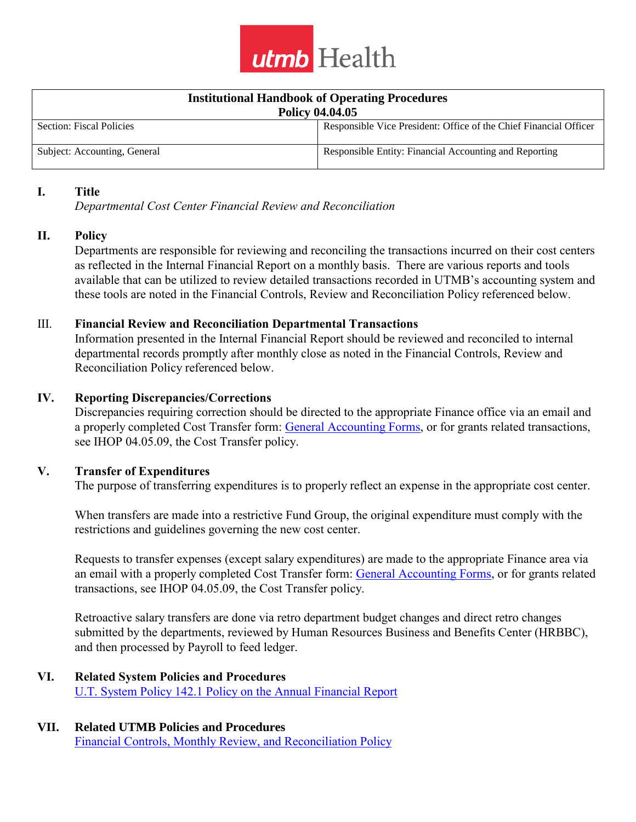

| <b>Institutional Handbook of Operating Procedures</b> |                                                                   |
|-------------------------------------------------------|-------------------------------------------------------------------|
| <b>Policy 04.04.05</b>                                |                                                                   |
| Section: Fiscal Policies                              | Responsible Vice President: Office of the Chief Financial Officer |
| Subject: Accounting, General                          | Responsible Entity: Financial Accounting and Reporting            |

#### **I. Title**

*Departmental Cost Center Financial Review and Reconciliation* 

## **II. Policy**

Departments are responsible for reviewing and reconciling the transactions incurred on their cost centers as reflected in the Internal Financial Report on a monthly basis. There are various reports and tools available that can be utilized to review detailed transactions recorded in UTMB's accounting system and these tools are noted in the Financial Controls, Review and Reconciliation Policy referenced below.

## III. **Financial Review and Reconciliation Departmental Transactions**

Information presented in the Internal Financial Report should be reviewed and reconciled to internal departmental records promptly after monthly close as noted in the Financial Controls, Review and Reconciliation Policy referenced below.

## **IV. Reporting Discrepancies/Corrections**

Discrepancies requiring correction should be directed to the appropriate Finance office via an email and a properly completed Cost Transfer form: [General Accounting Forms,](https://www.utmb.edu/finance/accounting/forms/default.asp) or for grants related transactions, see IHOP 04.05.09, the Cost Transfer policy.

## **V. Transfer of Expenditures**

The purpose of transferring expenditures is to properly reflect an expense in the appropriate cost center.

When transfers are made into a restrictive Fund Group, the original expenditure must comply with the restrictions and guidelines governing the new cost center.

Requests to transfer expenses (except salary expenditures) are made to the appropriate Finance area via an email with a properly completed Cost Transfer form: [General Accounting Forms,](https://www.utmb.edu/finance/accounting/forms/default.asp) or for grants related transactions, see IHOP 04.05.09, the Cost Transfer policy.

Retroactive salary transfers are done via retro department budget changes and direct retro changes submitted by the departments, reviewed by Human Resources Business and Benefits Center (HRBBC), and then processed by Payroll to feed ledger.

#### **VI. Related System Policies and Procedures** [U.T. System Policy 142.1 Policy on the Annual Financial Report](https://www.utsystem.edu/sites/policy-library/policies/uts-1421-policy-annual-financial-report)

### **VII. Related UTMB Policies and Procedures**  [Financial Controls, Monthly Review,](https://ispace.utmb.edu/xythoswfs/webview/_xy-320932_1) and Reconciliation Policy